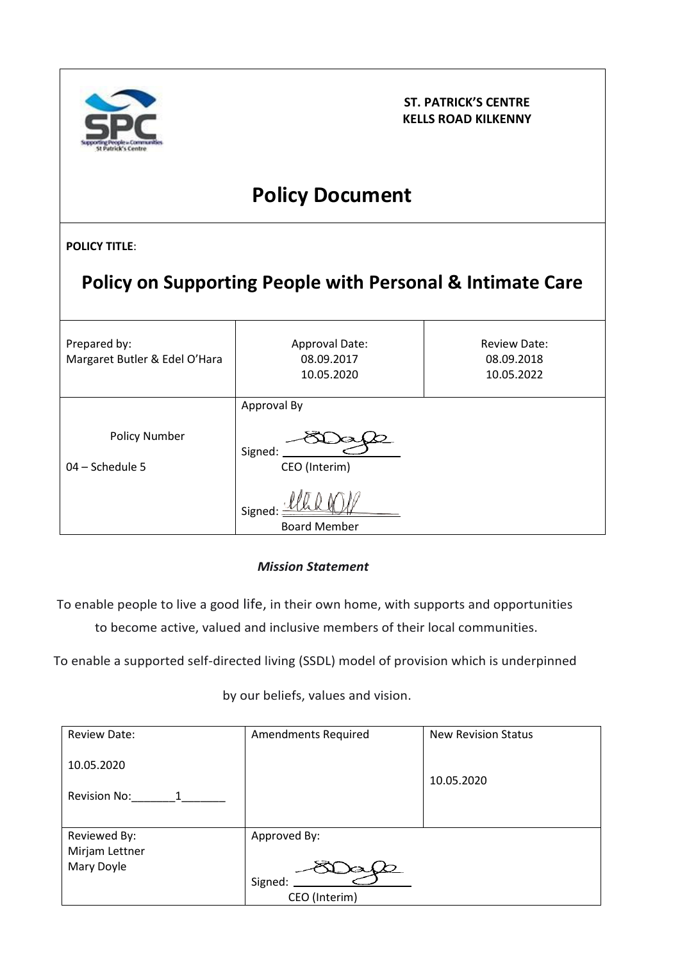

**ST. PATRICK'S CENTRE KELLS ROAD KILKENNY**

# **Policy Document**

**POLICY TITLE**:

| Policy on Supporting People with Personal & Intimate Care |                                                                          |                                                 |  |
|-----------------------------------------------------------|--------------------------------------------------------------------------|-------------------------------------------------|--|
| Prepared by:<br>Margaret Butler & Edel O'Hara             | Approval Date:<br>08.09.2017<br>10.05.2020                               | <b>Review Date:</b><br>08.09.2018<br>10.05.2022 |  |
| <b>Policy Number</b><br>$04 - Schedule$ 5                 | Approval By<br>Signed:<br>CEO (Interim)<br>Signed<br><b>Board Member</b> |                                                 |  |

## *Mission Statement*

To enable people to live a good life, in their own home, with supports and opportunities to become active, valued and inclusive members of their local communities.

To enable a supported self-directed living (SSDL) model of provision which is underpinned

by our beliefs, values and vision.

| <b>Review Date:</b>                          | <b>Amendments Required</b>               | <b>New Revision Status</b> |
|----------------------------------------------|------------------------------------------|----------------------------|
| 10.05.2020<br>Revision No:<br>$\overline{1}$ |                                          | 10.05.2020                 |
| Reviewed By:<br>Mirjam Lettner<br>Mary Doyle | Approved By:<br>Signed:<br>CEO (Interim) |                            |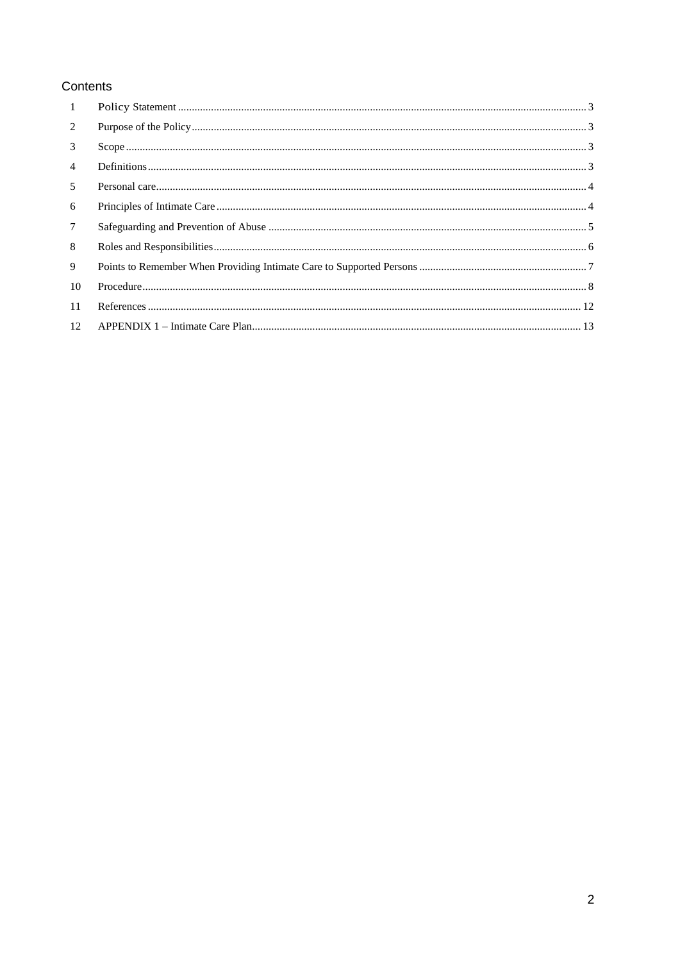## Contents

| 1                |  |
|------------------|--|
| 2                |  |
| 3                |  |
| $\overline{4}$   |  |
| 5                |  |
| 6                |  |
| 7                |  |
| 8                |  |
| 9                |  |
| 10               |  |
| -11              |  |
| 12 <sup>12</sup> |  |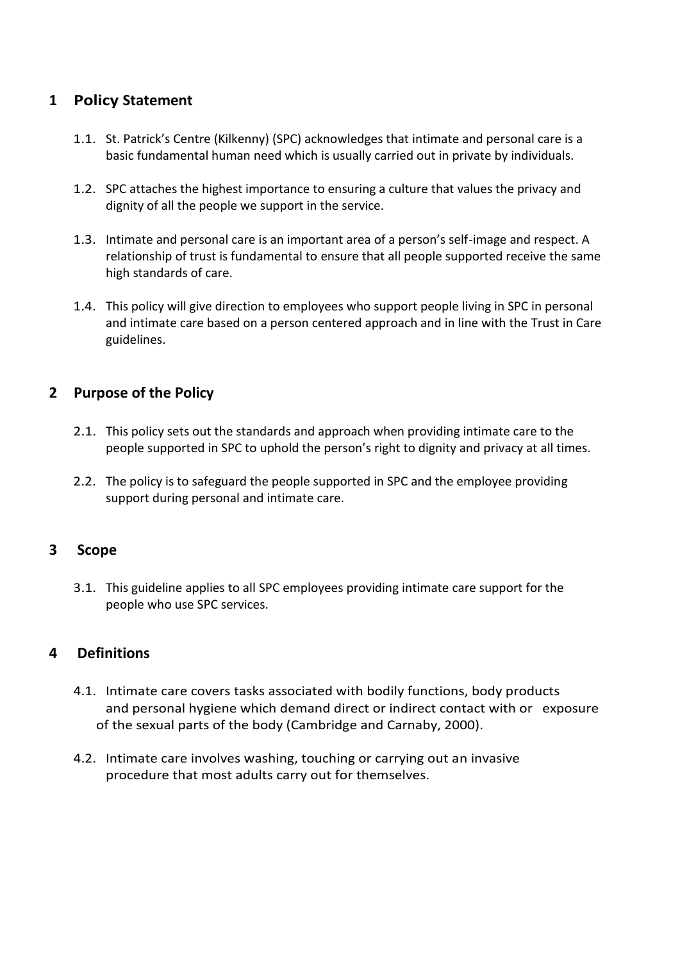## <span id="page-2-0"></span>**1 Policy Statement**

- 1.1. St. Patrick's Centre (Kilkenny) (SPC) acknowledges that intimate and personal care is a basic fundamental human need which is usually carried out in private by individuals.
- 1.2. SPC attaches the highest importance to ensuring a culture that values the privacy and dignity of all the people we support in the service.
- 1.3. Intimate and personal care is an important area of a person's self-image and respect. A relationship of trust is fundamental to ensure that all people supported receive the same high standards of care.
- 1.4. This policy will give direction to employees who support people living in SPC in personal and intimate care based on a person centered approach and in line with the Trust in Care guidelines.

## <span id="page-2-1"></span>**2 Purpose of the Policy**

- 2.1. This policy sets out the standards and approach when providing intimate care to the people supported in SPC to uphold the person's right to dignity and privacy at all times.
- 2.2. The policy is to safeguard the people supported in SPC and the employee providing support during personal and intimate care.

## <span id="page-2-2"></span>**3 Scope**

3.1. This guideline applies to all SPC employees providing intimate care support for the people who use SPC services.

#### <span id="page-2-3"></span>**4 Definitions**

- 4.1. Intimate care covers tasks associated with bodily functions, body products and personal hygiene which demand direct or indirect contact with or exposure of the sexual parts of the body (Cambridge and Carnaby, 2000).
- 4.2. Intimate care involves washing, touching or carrying out an invasive procedure that most adults carry out for themselves.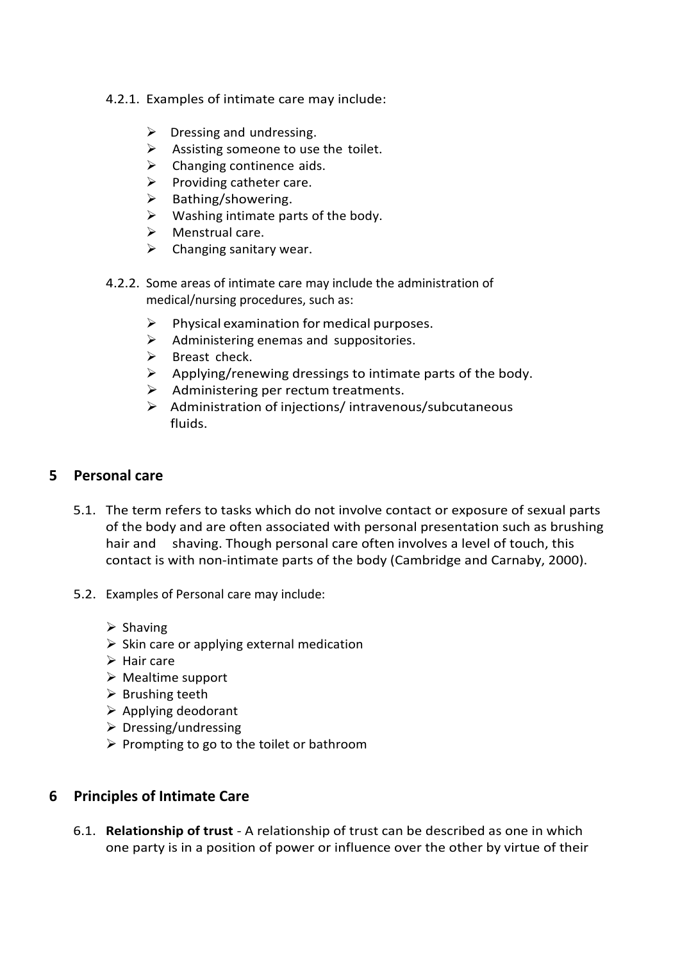- 4.2.1. Examples of intimate care may include:
	- $\triangleright$  Dressing and undressing.
	- $\triangleright$  Assisting someone to use the toilet.
	- $\triangleright$  Changing continence aids.
	- $\triangleright$  Providing catheter care.
	- ➢ Bathing/showering.
	- $\triangleright$  Washing intimate parts of the body.
	- $\triangleright$  Menstrual care.
	- $\triangleright$  Changing sanitary wear.
- 4.2.2. Some areas of intimate care may include the administration of medical/nursing procedures, such as:
	- $\triangleright$  Physical examination for medical purposes.
	- $\triangleright$  Administering enemas and suppositories.
	- $\triangleright$  Breast check.
	- $\triangleright$  Applying/renewing dressings to intimate parts of the body.
	- $\triangleright$  Administering per rectum treatments.
	- ➢ Administration of injections/ intravenous/subcutaneous fluids.

### <span id="page-3-0"></span>**5 Personal care**

- 5.1. The term refers to tasks which do not involve contact or exposure of sexual parts of the body and are often associated with personal presentation such as brushing hair and shaving. Though personal care often involves a level of touch, this contact is with non-intimate parts of the body (Cambridge and Carnaby, 2000).
- 5.2. Examples of Personal care may include:
	- ➢ Shaving
	- $\triangleright$  Skin care or applying external medication
	- ➢ Hair care
	- ➢ Mealtime support
	- $\triangleright$  Brushing teeth
	- ➢ Applying deodorant
	- $\triangleright$  Dressing/undressing
	- $\triangleright$  Prompting to go to the toilet or bathroom

#### <span id="page-3-1"></span>**6 Principles of Intimate Care**

6.1. **Relationship of trust** - A relationship of trust can be described as one in which one party is in a position of power or influence over the other by virtue of their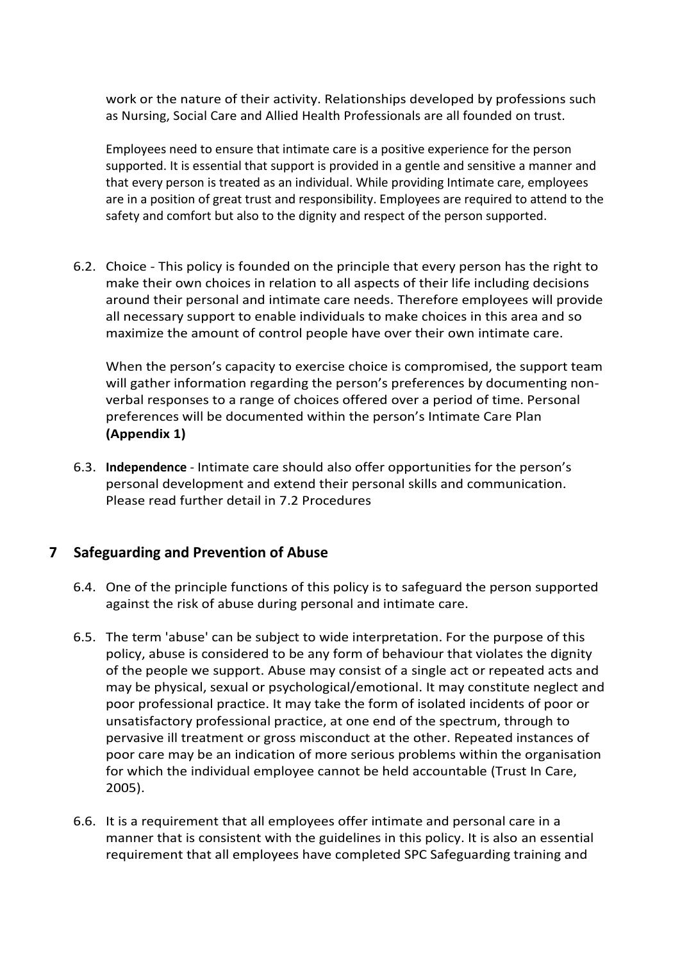work or the nature of their activity. Relationships developed by professions such as Nursing, Social Care and Allied Health Professionals are all founded on trust.

Employees need to ensure that intimate care is a positive experience for the person supported. It is essential that support is provided in a gentle and sensitive a manner and that every person is treated as an individual. While providing Intimate care, employees are in a position of great trust and responsibility. Employees are required to attend to the safety and comfort but also to the dignity and respect of the person supported.

6.2. Choice - This policy is founded on the principle that every person has the right to make their own choices in relation to all aspects of their life including decisions around their personal and intimate care needs. Therefore employees will provide all necessary support to enable individuals to make choices in this area and so maximize the amount of control people have over their own intimate care.

When the person's capacity to exercise choice is compromised, the support team will gather information regarding the person's preferences by documenting nonverbal responses to a range of choices offered over a period of time. Personal preferences will be documented within the person's Intimate Care Plan **(Appendix 1)**

6.3. **Independence** - Intimate care should also offer opportunities for the person's personal development and extend their personal skills and communication. Please read further detail in 7.2 Procedures

## <span id="page-4-0"></span>**7 Safeguarding and Prevention of Abuse**

- 6.4. One of the principle functions of this policy is to safeguard the person supported against the risk of abuse during personal and intimate care.
- 6.5. The term 'abuse' can be subject to wide interpretation. For the purpose of this policy, abuse is considered to be any form of behaviour that violates the dignity of the people we support. Abuse may consist of a single act or repeated acts and may be physical, sexual or psychological/emotional. It may constitute neglect and poor professional practice. It may take the form of isolated incidents of poor or unsatisfactory professional practice, at one end of the spectrum, through to pervasive ill treatment or gross misconduct at the other. Repeated instances of poor care may be an indication of more serious problems within the organisation for which the individual employee cannot be held accountable (Trust In Care, 2005).
- 6.6. It is a requirement that all employees offer intimate and personal care in a manner that is consistent with the guidelines in this policy. It is also an essential requirement that all employees have completed SPC Safeguarding training and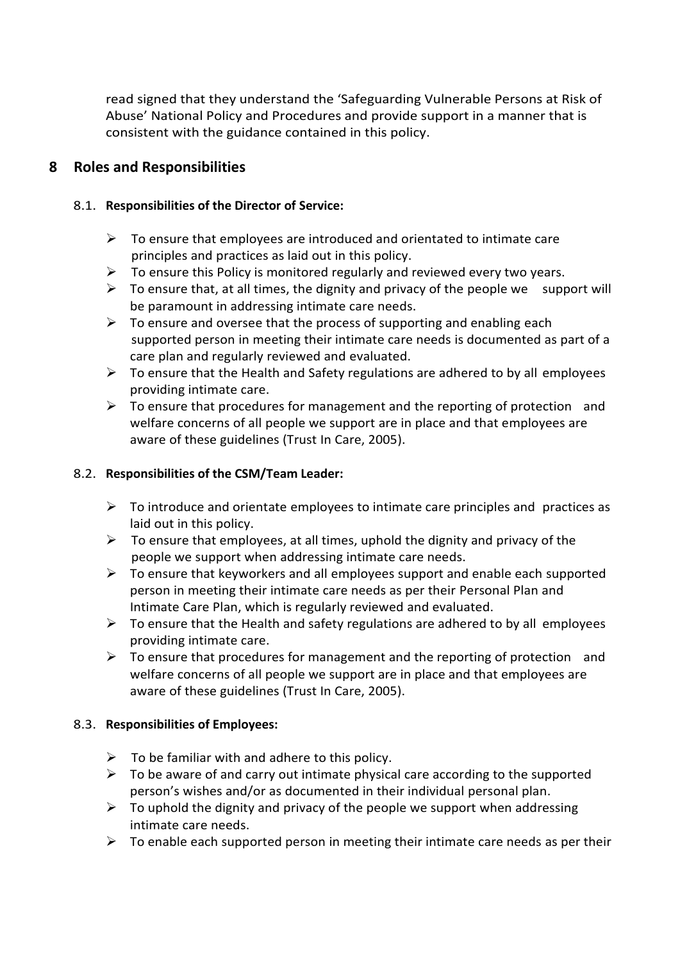read signed that they understand the 'Safeguarding Vulnerable Persons at Risk of Abuse' National Policy and Procedures and provide support in a manner that is consistent with the guidance contained in this policy.

## <span id="page-5-0"></span>**8 Roles and Responsibilities**

### 8.1. **Responsibilities of the Director of Service:**

- $\triangleright$  To ensure that employees are introduced and orientated to intimate care principles and practices as laid out in this policy.
- $\triangleright$  To ensure this Policy is monitored regularly and reviewed every two years.
- $\triangleright$  To ensure that, at all times, the dignity and privacy of the people we support will be paramount in addressing intimate care needs.
- $\triangleright$  To ensure and oversee that the process of supporting and enabling each supported person in meeting their intimate care needs is documented as part of a care plan and regularly reviewed and evaluated.
- $\triangleright$  To ensure that the Health and Safety regulations are adhered to by all employees providing intimate care.
- $\triangleright$  To ensure that procedures for management and the reporting of protection and welfare concerns of all people we support are in place and that employees are aware of these guidelines (Trust In Care, 2005).

#### 8.2. **Responsibilities of the CSM/Team Leader:**

- $\triangleright$  To introduce and orientate employees to intimate care principles and practices as laid out in this policy.
- $\triangleright$  To ensure that employees, at all times, uphold the dignity and privacy of the people we support when addressing intimate care needs.
- ➢ To ensure that keyworkers and all employees support and enable each supported person in meeting their intimate care needs as per their Personal Plan and Intimate Care Plan, which is regularly reviewed and evaluated.
- $\triangleright$  To ensure that the Health and safety regulations are adhered to by all employees providing intimate care.
- $\triangleright$  To ensure that procedures for management and the reporting of protection and welfare concerns of all people we support are in place and that employees are aware of these guidelines (Trust In Care, 2005).

#### 8.3. **Responsibilities of Employees:**

- $\triangleright$  To be familiar with and adhere to this policy.
- $\triangleright$  To be aware of and carry out intimate physical care according to the supported person's wishes and/or as documented in their individual personal plan.
- $\triangleright$  To uphold the dignity and privacy of the people we support when addressing intimate care needs.
- $\triangleright$  To enable each supported person in meeting their intimate care needs as per their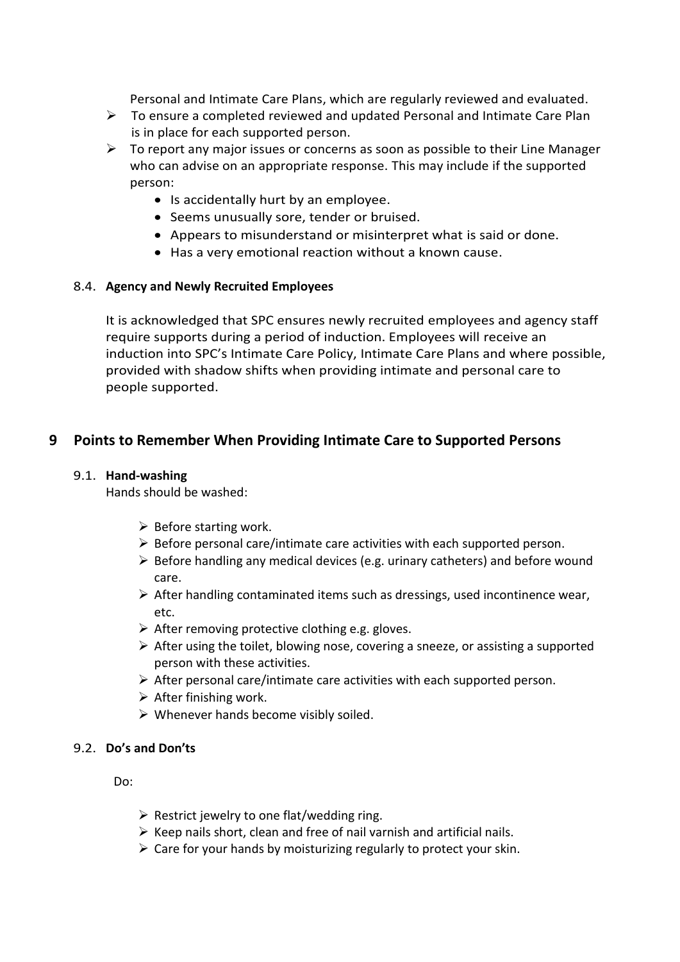Personal and Intimate Care Plans, which are regularly reviewed and evaluated.

- ➢ To ensure a completed reviewed and updated Personal and Intimate Care Plan is in place for each supported person.
- ➢ To report any major issues or concerns as soon as possible to their Line Manager who can advise on an appropriate response. This may include if the supported person:
	- Is accidentally hurt by an employee.
	- Seems unusually sore, tender or bruised.
	- Appears to misunderstand or misinterpret what is said or done.
	- Has a very emotional reaction without a known cause.

#### 8.4. **Agency and Newly Recruited Employees**

It is acknowledged that SPC ensures newly recruited employees and agency staff require supports during a period of induction. Employees will receive an induction into SPC's Intimate Care Policy, Intimate Care Plans and where possible, provided with shadow shifts when providing intimate and personal care to people supported.

## <span id="page-6-0"></span>**9 Points to Remember When Providing Intimate Care to Supported Persons**

#### 9.1. **Hand-washing**

Hands should be washed:

- $\triangleright$  Before starting work.
- ➢ Before personal care/intimate care activities with each supported person.
- $\triangleright$  Before handling any medical devices (e.g. urinary catheters) and before wound care.
- $\triangleright$  After handling contaminated items such as dressings, used incontinence wear, etc.
- $\triangleright$  After removing protective clothing e.g. gloves.
- $\triangleright$  After using the toilet, blowing nose, covering a sneeze, or assisting a supported person with these activities.
- $\triangleright$  After personal care/intimate care activities with each supported person.
- $\triangleright$  After finishing work.
- $\triangleright$  Whenever hands become visibly soiled.

#### 9.2. **Do's and Don'ts**

Do:

- $\triangleright$  Restrict jewelry to one flat/wedding ring.
- $\triangleright$  Keep nails short, clean and free of nail varnish and artificial nails.
- $\triangleright$  Care for your hands by moisturizing regularly to protect your skin.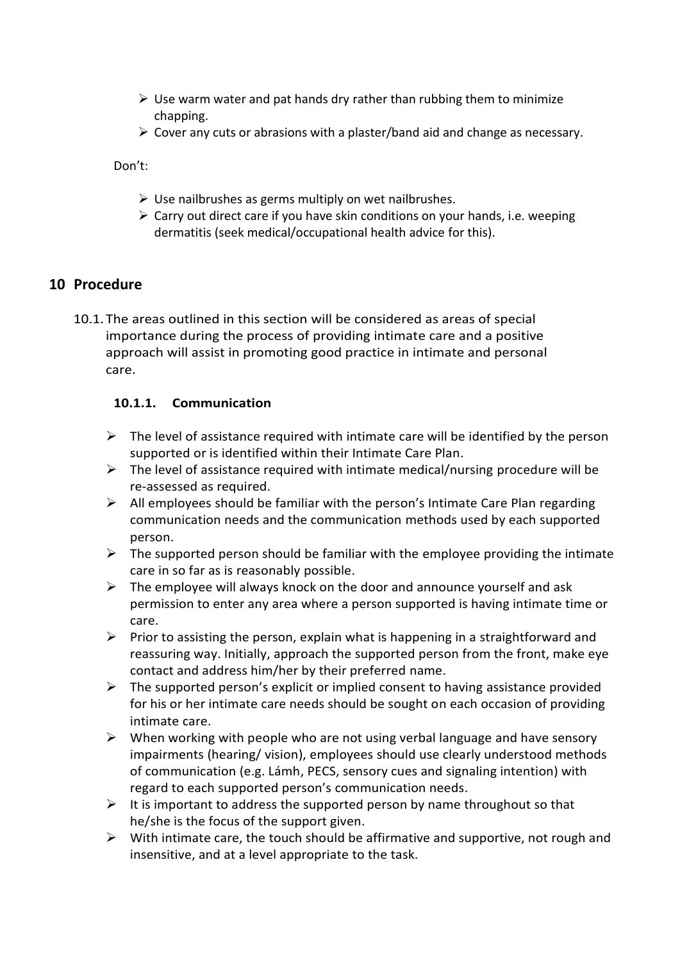- $\triangleright$  Use warm water and pat hands dry rather than rubbing them to minimize chapping.
- $\triangleright$  Cover any cuts or abrasions with a plaster/band aid and change as necessary.

Don't:

- $\triangleright$  Use nailbrushes as germs multiply on wet nailbrushes.
- $\triangleright$  Carry out direct care if you have skin conditions on your hands, i.e. weeping dermatitis (seek medical/occupational health advice for this).

## <span id="page-7-0"></span>**10 Procedure**

10.1. The areas outlined in this section will be considered as areas of special importance during the process of providing intimate care and a positive approach will assist in promoting good practice in intimate and personal care.

#### **10.1.1. Communication**

- $\triangleright$  The level of assistance required with intimate care will be identified by the person supported or is identified within their Intimate Care Plan.
- $\triangleright$  The level of assistance required with intimate medical/nursing procedure will be re-assessed as required.
- $\triangleright$  All employees should be familiar with the person's Intimate Care Plan regarding communication needs and the communication methods used by each supported person.
- $\triangleright$  The supported person should be familiar with the employee providing the intimate care in so far as is reasonably possible.
- $\triangleright$  The employee will always knock on the door and announce yourself and ask permission to enter any area where a person supported is having intimate time or care.
- $\triangleright$  Prior to assisting the person, explain what is happening in a straightforward and reassuring way. Initially, approach the supported person from the front, make eye contact and address him/her by their preferred name.
- $\triangleright$  The supported person's explicit or implied consent to having assistance provided for his or her intimate care needs should be sought on each occasion of providing intimate care.
- $\triangleright$  When working with people who are not using verbal language and have sensory impairments (hearing/ vision), employees should use clearly understood methods of communication (e.g. Lámh, PECS, sensory cues and signaling intention) with regard to each supported person's communication needs.
- $\triangleright$  It is important to address the supported person by name throughout so that he/she is the focus of the support given.
- $\triangleright$  With intimate care, the touch should be affirmative and supportive, not rough and insensitive, and at a level appropriate to the task.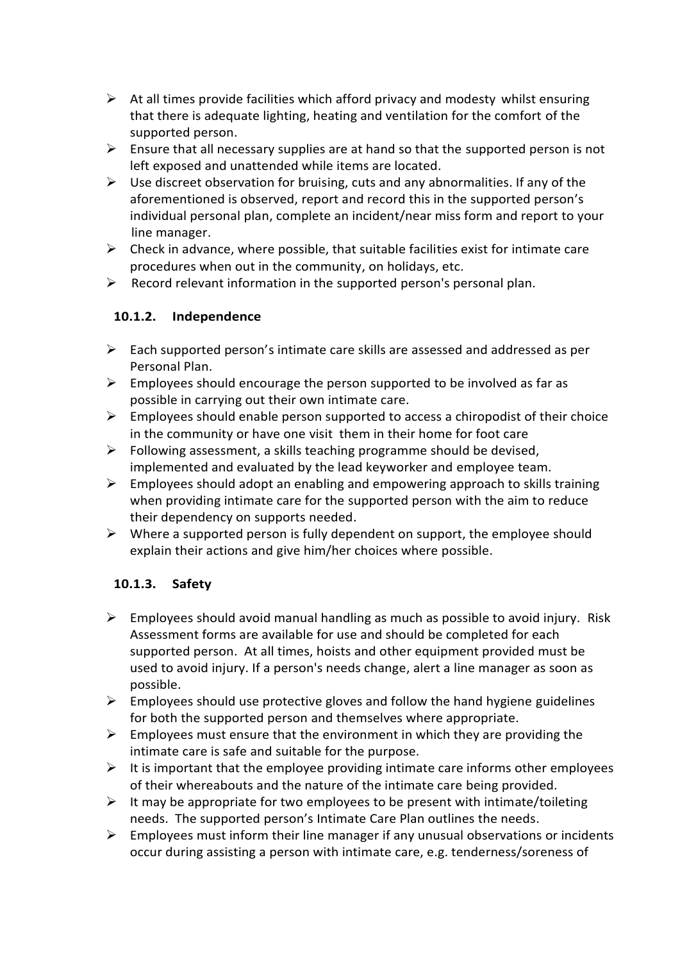- $\triangleright$  At all times provide facilities which afford privacy and modesty whilst ensuring that there is adequate lighting, heating and ventilation for the comfort of the supported person.
- $\triangleright$  Ensure that all necessary supplies are at hand so that the supported person is not left exposed and unattended while items are located.
- $\triangleright$  Use discreet observation for bruising, cuts and any abnormalities. If any of the aforementioned is observed, report and record this in the supported person's individual personal plan, complete an incident/near miss form and report to your line manager.
- $\triangleright$  Check in advance, where possible, that suitable facilities exist for intimate care procedures when out in the community, on holidays, etc.
- $\triangleright$  Record relevant information in the supported person's personal plan.

## **10.1.2. Independence**

- $\triangleright$  Each supported person's intimate care skills are assessed and addressed as per Personal Plan.
- $\triangleright$  Employees should encourage the person supported to be involved as far as possible in carrying out their own intimate care.
- $\triangleright$  Employees should enable person supported to access a chiropodist of their choice in the community or have one visit them in their home for foot care
- $\triangleright$  Following assessment, a skills teaching programme should be devised, implemented and evaluated by the lead keyworker and employee team.
- $\triangleright$  Employees should adopt an enabling and empowering approach to skills training when providing intimate care for the supported person with the aim to reduce their dependency on supports needed.
- $\triangleright$  Where a supported person is fully dependent on support, the employee should explain their actions and give him/her choices where possible.

#### **10.1.3. Safety**

- $\triangleright$  Employees should avoid manual handling as much as possible to avoid injury. Risk Assessment forms are available for use and should be completed for each supported person. At all times, hoists and other equipment provided must be used to avoid injury. If a person's needs change, alert a line manager as soon as possible.
- $\triangleright$  Employees should use protective gloves and follow the hand hygiene guidelines for both the supported person and themselves where appropriate.
- $\triangleright$  Employees must ensure that the environment in which they are providing the intimate care is safe and suitable for the purpose.
- $\triangleright$  It is important that the employee providing intimate care informs other employees of their whereabouts and the nature of the intimate care being provided.
- $\triangleright$  It may be appropriate for two employees to be present with intimate/toileting needs. The supported person's Intimate Care Plan outlines the needs.
- $\triangleright$  Employees must inform their line manager if any unusual observations or incidents occur during assisting a person with intimate care, e.g. tenderness/soreness of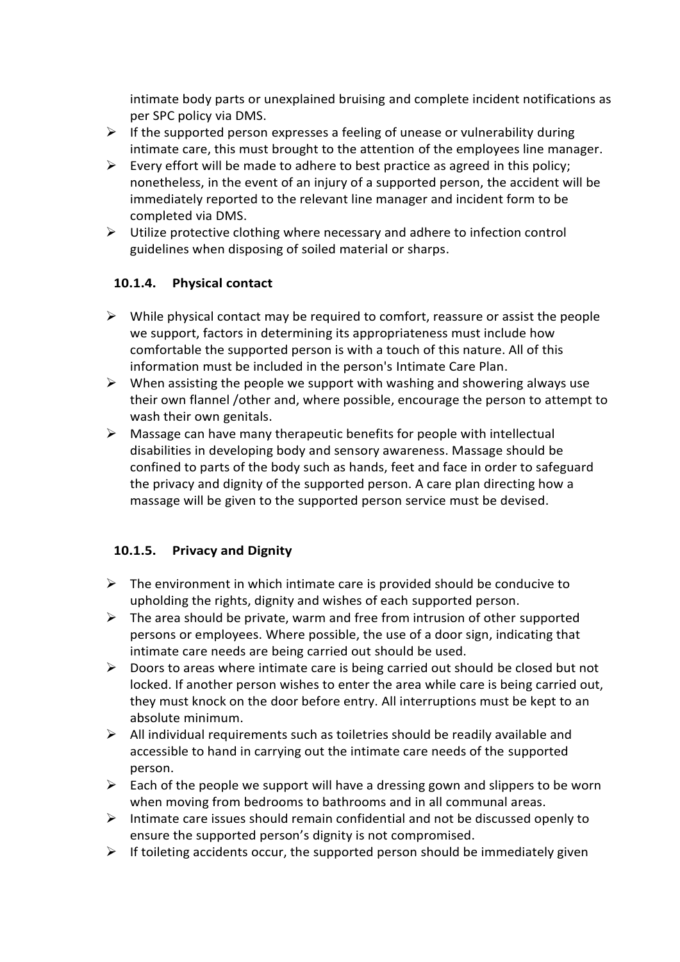intimate body parts or unexplained bruising and complete incident notifications as per SPC policy via DMS.

- $\triangleright$  If the supported person expresses a feeling of unease or vulnerability during intimate care, this must brought to the attention of the employees line manager.
- $\triangleright$  Every effort will be made to adhere to best practice as agreed in this policy; nonetheless, in the event of an injury of a supported person, the accident will be immediately reported to the relevant line manager and incident form to be completed via DMS.
- $\triangleright$  Utilize protective clothing where necessary and adhere to infection control guidelines when disposing of soiled material or sharps.

#### **10.1.4. Physical contact**

- $\triangleright$  While physical contact may be required to comfort, reassure or assist the people we support, factors in determining its appropriateness must include how comfortable the supported person is with a touch of this nature. All of this information must be included in the person's Intimate Care Plan.
- $\triangleright$  When assisting the people we support with washing and showering always use their own flannel /other and, where possible, encourage the person to attempt to wash their own genitals.
- $\triangleright$  Massage can have many therapeutic benefits for people with intellectual disabilities in developing body and sensory awareness. Massage should be confined to parts of the body such as hands, feet and face in order to safeguard the privacy and dignity of the supported person. A care plan directing how a massage will be given to the supported person service must be devised.

#### **10.1.5. Privacy and Dignity**

- $\triangleright$  The environment in which intimate care is provided should be conducive to upholding the rights, dignity and wishes of each supported person.
- $\triangleright$  The area should be private, warm and free from intrusion of other supported persons or employees. Where possible, the use of a door sign, indicating that intimate care needs are being carried out should be used.
- $\triangleright$  Doors to areas where intimate care is being carried out should be closed but not locked. If another person wishes to enter the area while care is being carried out, they must knock on the door before entry. All interruptions must be kept to an absolute minimum.
- $\triangleright$  All individual requirements such as toiletries should be readily available and accessible to hand in carrying out the intimate care needs of the supported person.
- $\triangleright$  Each of the people we support will have a dressing gown and slippers to be worn when moving from bedrooms to bathrooms and in all communal areas.
- $\triangleright$  Intimate care issues should remain confidential and not be discussed openly to ensure the supported person's dignity is not compromised.
- $\triangleright$  If toileting accidents occur, the supported person should be immediately given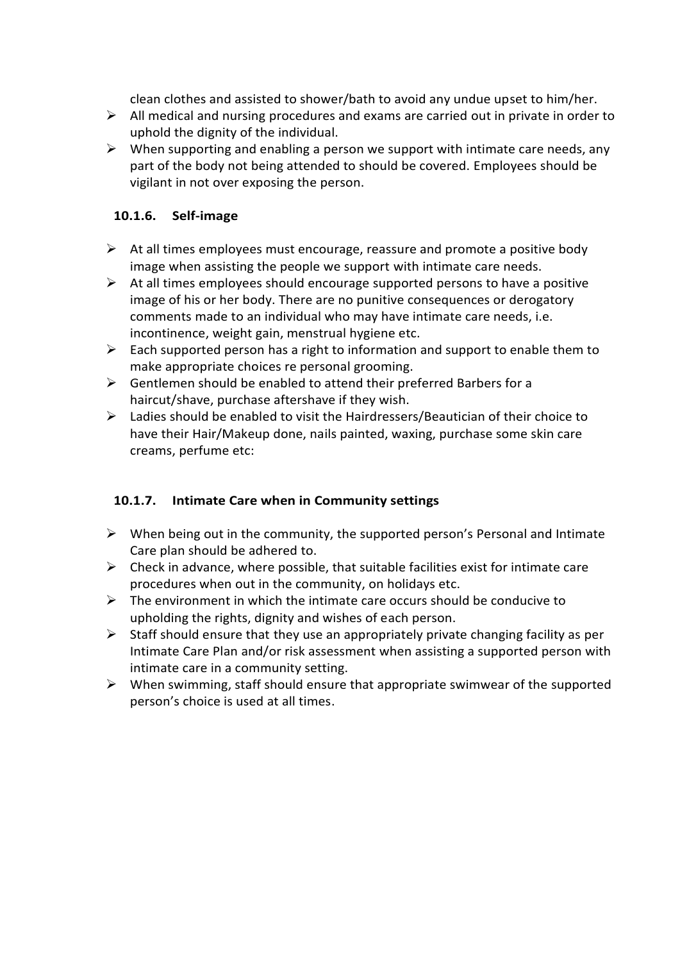clean clothes and assisted to shower/bath to avoid any undue upset to him/her.

- $\triangleright$  All medical and nursing procedures and exams are carried out in private in order to uphold the dignity of the individual.
- $\triangleright$  When supporting and enabling a person we support with intimate care needs, any part of the body not being attended to should be covered. Employees should be vigilant in not over exposing the person.

## **10.1.6. Self-image**

- $\triangleright$  At all times employees must encourage, reassure and promote a positive body image when assisting the people we support with intimate care needs.
- $\triangleright$  At all times employees should encourage supported persons to have a positive image of his or her body. There are no punitive consequences or derogatory comments made to an individual who may have intimate care needs, i.e. incontinence, weight gain, menstrual hygiene etc.
- $\triangleright$  Each supported person has a right to information and support to enable them to make appropriate choices re personal grooming.
- $\triangleright$  Gentlemen should be enabled to attend their preferred Barbers for a haircut/shave, purchase aftershave if they wish.
- $\triangleright$  Ladies should be enabled to visit the Hairdressers/Beautician of their choice to have their Hair/Makeup done, nails painted, waxing, purchase some skin care creams, perfume etc:

## **10.1.7. Intimate Care when in Community settings**

- $\triangleright$  When being out in the community, the supported person's Personal and Intimate Care plan should be adhered to.
- $\triangleright$  Check in advance, where possible, that suitable facilities exist for intimate care procedures when out in the community, on holidays etc.
- $\triangleright$  The environment in which the intimate care occurs should be conducive to upholding the rights, dignity and wishes of each person.
- $\triangleright$  Staff should ensure that they use an appropriately private changing facility as per Intimate Care Plan and/or risk assessment when assisting a supported person with intimate care in a community setting.
- ➢ When swimming, staff should ensure that appropriate swimwear of the supported person's choice is used at all times.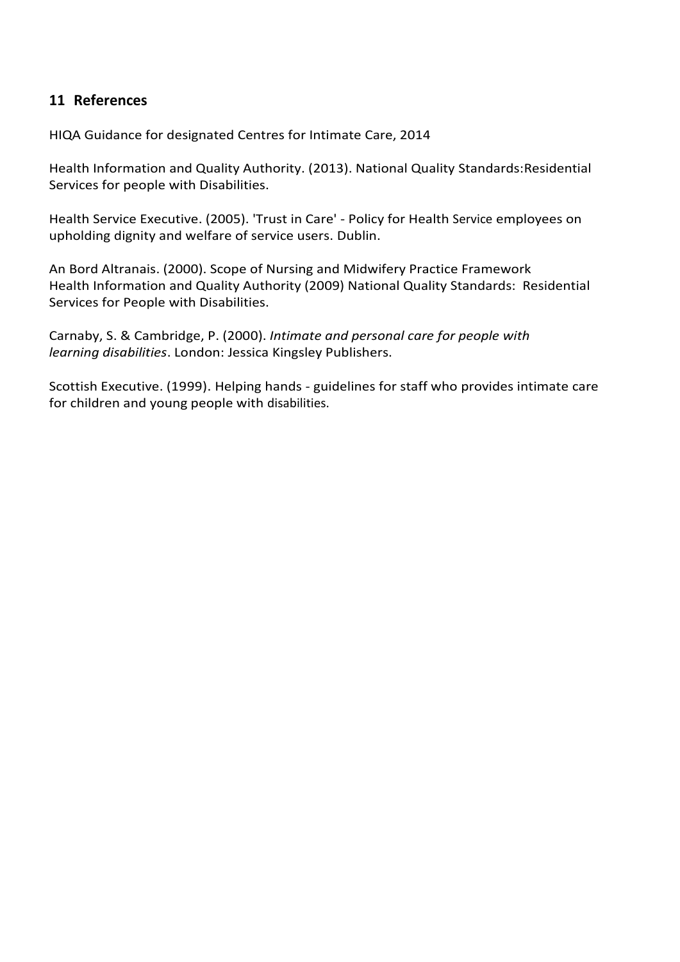## <span id="page-11-0"></span>**11 References**

HIQA Guidance for designated Centres for Intimate Care, 2014

Health Information and Quality Authority. (2013). National Quality Standards:Residential Services for people with Disabilities.

Health Service Executive. (2005). 'Trust in Care' - Policy for Health Service employees on upholding dignity and welfare of service users. Dublin.

An Bord Altranais. (2000). Scope of Nursing and Midwifery Practice Framework Health Information and Quality Authority (2009) National Quality Standards: Residential Services for People with Disabilities.

Carnaby, S. & Cambridge, P. (2000). *Intimate and personal care for people with learning disabilities*. London: Jessica Kingsley Publishers.

Scottish Executive. (1999). Helping hands - guidelines for staff who provides intimate care for children and young people with disabilities.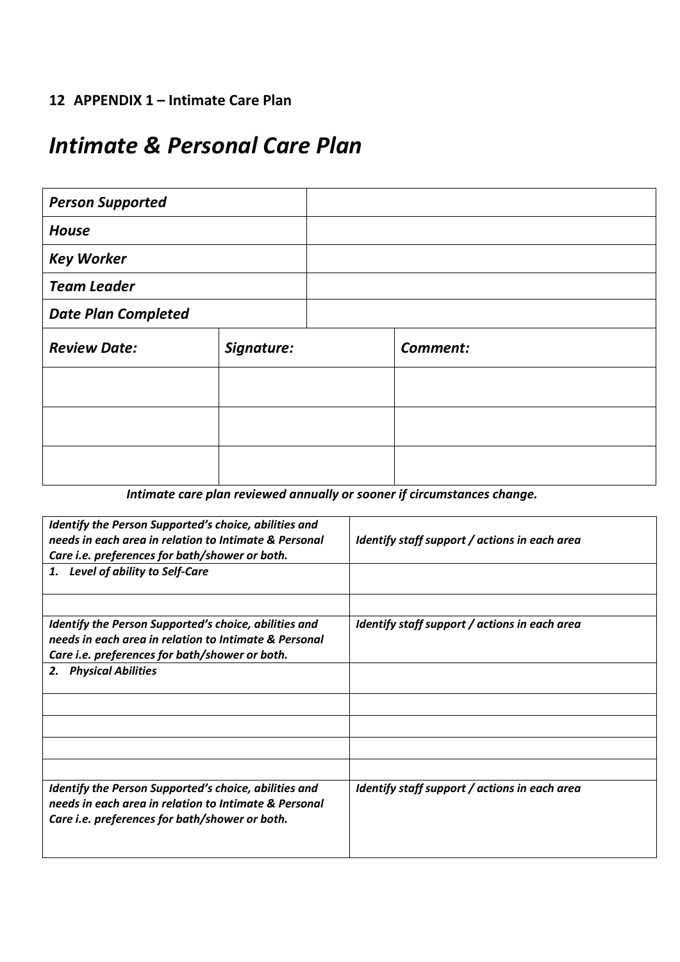# <span id="page-12-0"></span>**12 APPENDIX 1 – Intimate Care Plan**

# *Intimate & Personal Care Plan*

| <b>Person Supported</b>    |            |          |
|----------------------------|------------|----------|
| <b>House</b>               |            |          |
| <b>Key Worker</b>          |            |          |
| <b>Team Leader</b>         |            |          |
| <b>Date Plan Completed</b> |            |          |
| <b>Review Date:</b>        | Signature: | Comment: |
|                            |            |          |
|                            |            |          |
|                            |            |          |

*Intimate care plan reviewed annually or sooner if circumstances change.*

| Identify the Person Supported's choice, abilities and<br>needs in each area in relation to Intimate & Personal<br>Care i.e. preferences for bath/shower or both.<br>1. Level of ability to Self-Care | Identify staff support / actions in each area |
|------------------------------------------------------------------------------------------------------------------------------------------------------------------------------------------------------|-----------------------------------------------|
| Identify the Person Supported's choice, abilities and<br>needs in each area in relation to Intimate & Personal<br>Care i.e. preferences for bath/shower or both.                                     | Identify staff support / actions in each area |
| 2. Physical Abilities                                                                                                                                                                                |                                               |
|                                                                                                                                                                                                      |                                               |
| Identify the Person Supported's choice, abilities and                                                                                                                                                | Identify staff support / actions in each area |
| needs in each area in relation to Intimate & Personal<br>Care i.e. preferences for bath/shower or both.                                                                                              |                                               |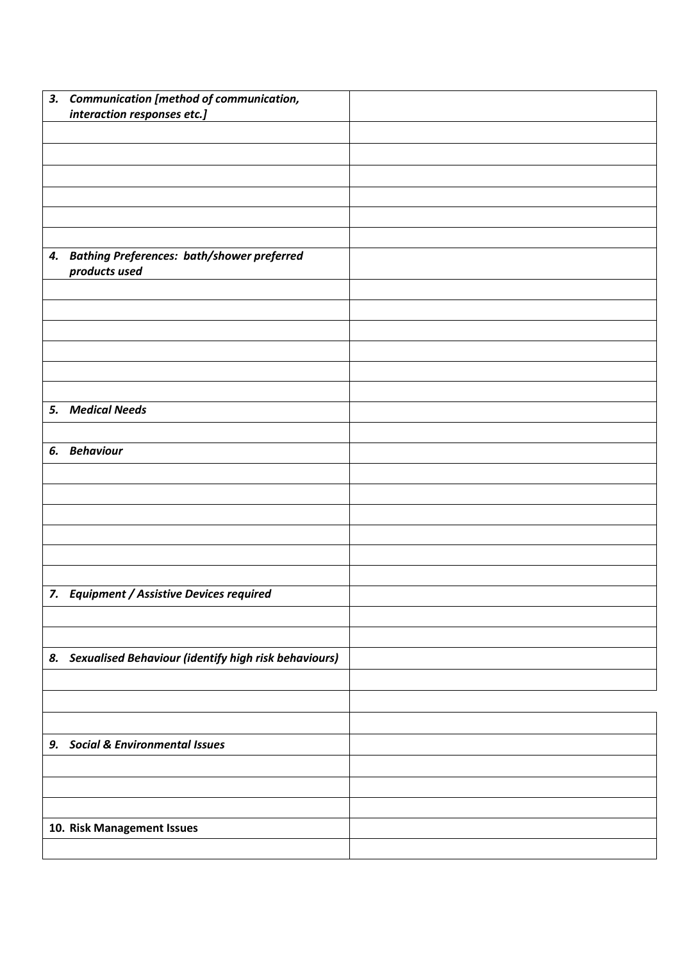|    | 3. Communication [method of communication,<br>interaction responses etc.] |  |
|----|---------------------------------------------------------------------------|--|
|    |                                                                           |  |
|    |                                                                           |  |
|    |                                                                           |  |
|    |                                                                           |  |
|    |                                                                           |  |
|    |                                                                           |  |
|    | 4. Bathing Preferences: bath/shower preferred<br>products used            |  |
|    |                                                                           |  |
|    |                                                                           |  |
|    |                                                                           |  |
|    |                                                                           |  |
|    |                                                                           |  |
|    |                                                                           |  |
|    | 5. Medical Needs                                                          |  |
|    |                                                                           |  |
|    | 6. Behaviour                                                              |  |
|    |                                                                           |  |
|    |                                                                           |  |
|    |                                                                           |  |
|    |                                                                           |  |
|    |                                                                           |  |
|    |                                                                           |  |
|    | 7. Equipment / Assistive Devices required                                 |  |
|    |                                                                           |  |
|    |                                                                           |  |
|    | 8. Sexualised Behaviour (identify high risk behaviours)                   |  |
|    |                                                                           |  |
|    |                                                                           |  |
|    |                                                                           |  |
| 9. | <b>Social &amp; Environmental Issues</b>                                  |  |
|    |                                                                           |  |
|    |                                                                           |  |
|    |                                                                           |  |
|    | 10. Risk Management Issues                                                |  |
|    |                                                                           |  |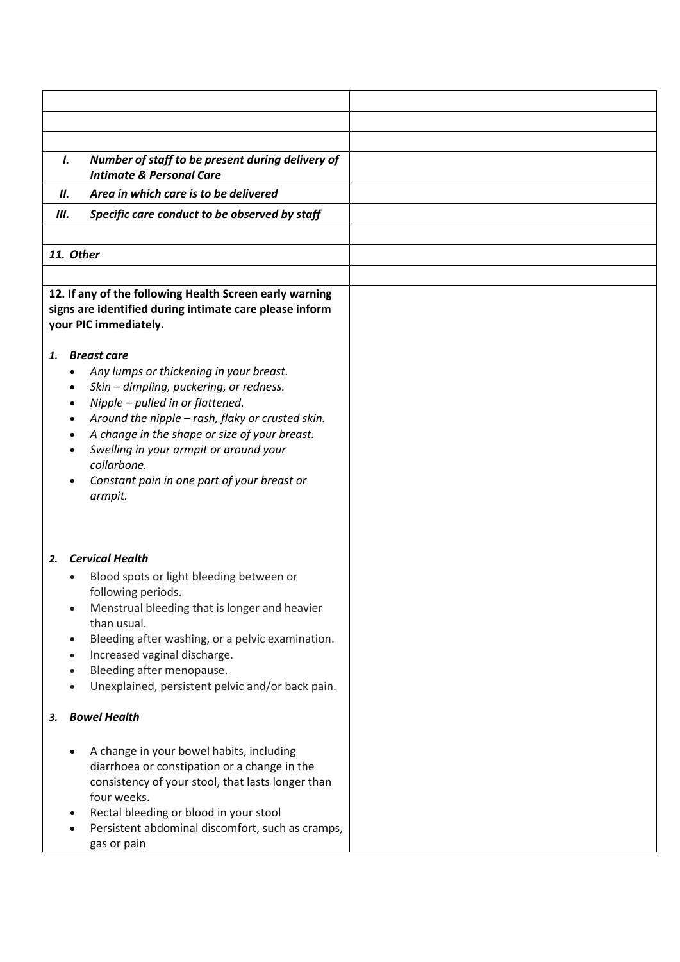|     | Number of staff to be present during delivery of<br>Ι.<br><b>Intimate &amp; Personal Care</b>                                                                                                                                                                                                                                                                                                                                                                                                                                                                                        |  |
|-----|--------------------------------------------------------------------------------------------------------------------------------------------------------------------------------------------------------------------------------------------------------------------------------------------------------------------------------------------------------------------------------------------------------------------------------------------------------------------------------------------------------------------------------------------------------------------------------------|--|
| II. | Area in which care is to be delivered                                                                                                                                                                                                                                                                                                                                                                                                                                                                                                                                                |  |
| Ш.  | Specific care conduct to be observed by staff                                                                                                                                                                                                                                                                                                                                                                                                                                                                                                                                        |  |
|     |                                                                                                                                                                                                                                                                                                                                                                                                                                                                                                                                                                                      |  |
|     | 11. Other                                                                                                                                                                                                                                                                                                                                                                                                                                                                                                                                                                            |  |
|     |                                                                                                                                                                                                                                                                                                                                                                                                                                                                                                                                                                                      |  |
| 1.  | 12. If any of the following Health Screen early warning<br>signs are identified during intimate care please inform<br>your PIC immediately.<br><b>Breast care</b><br>Any lumps or thickening in your breast.<br>Skin - dimpling, puckering, or redness.<br>Nipple - pulled in or flattened.<br>$\bullet$<br>Around the nipple - rash, flaky or crusted skin.<br>$\bullet$<br>A change in the shape or size of your breast.<br>$\bullet$<br>Swelling in your armpit or around your<br>$\bullet$<br>collarbone.<br>Constant pain in one part of your breast or<br>$\bullet$<br>armpit. |  |
| 2.  | <b>Cervical Health</b><br>Blood spots or light bleeding between or<br>following periods.<br>Menstrual bleeding that is longer and heavier<br>$\bullet$<br>than usual.<br>Bleeding after washing, or a pelvic examination.<br>$\bullet$<br>Increased vaginal discharge.<br>$\bullet$<br>Bleeding after menopause.<br>$\bullet$<br>Unexplained, persistent pelvic and/or back pain.                                                                                                                                                                                                    |  |
| 3.  | <b>Bowel Health</b>                                                                                                                                                                                                                                                                                                                                                                                                                                                                                                                                                                  |  |
|     | A change in your bowel habits, including<br>$\bullet$<br>diarrhoea or constipation or a change in the<br>consistency of your stool, that lasts longer than<br>four weeks.<br>Rectal bleeding or blood in your stool<br>$\bullet$<br>Persistent abdominal discomfort, such as cramps,<br>gas or pain                                                                                                                                                                                                                                                                                  |  |